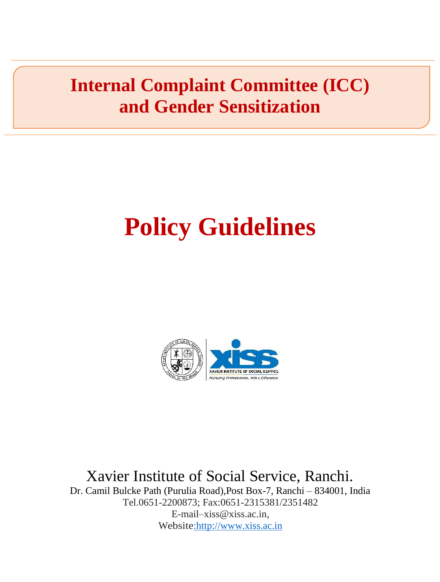## **Internal Complaint Committee (ICC) and Gender Sensitization**

# **Policy Guidelines**



Xavier Institute of Social Service, Ranchi.

Dr. Camil Bulcke Path (Purulia Road),Post Box-7, Ranchi – 834001, India Tel.0651-2200873; Fax:0651-2315381/2351482 E-mail[–xiss@xiss.ac.in,](mailto:xiss@xiss.ac.in) Websit[e:http://www.xiss.ac.in](http://www.xiss.ac.in/)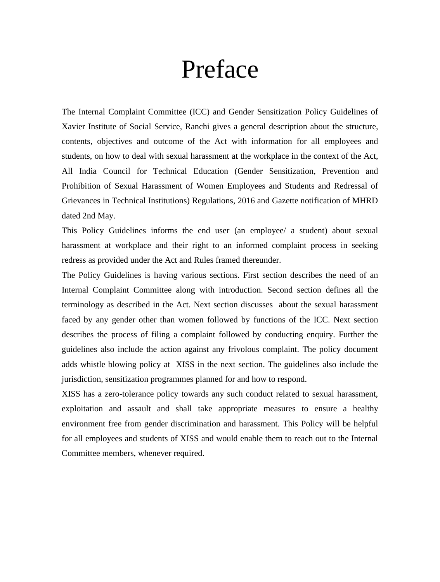## Preface

The Internal Complaint Committee (ICC) and Gender Sensitization Policy Guidelines of Xavier Institute of Social Service, Ranchi gives a general description about the structure, contents, objectives and outcome of the Act with information for all employees and students, on how to deal with sexual harassment at the workplace in the context of the Act, All India Council for Technical Education (Gender Sensitization, Prevention and Prohibition of Sexual Harassment of Women Employees and Students and Redressal of Grievances in Technical Institutions) Regulations, 2016 and Gazette notification of MHRD dated 2nd May.

This Policy Guidelines informs the end user (an employee/ a student) about sexual harassment at workplace and their right to an informed complaint process in seeking redress as provided under the Act and Rules framed thereunder.

The Policy Guidelines is having various sections. First section describes the need of an Internal Complaint Committee along with introduction. Second section defines all the terminology as described in the Act. Next section discusses about the sexual harassment faced by any gender other than women followed by functions of the ICC. Next section describes the process of filing a complaint followed by conducting enquiry. Further the guidelines also include the action against any frivolous complaint. The policy document adds whistle blowing policy at XISS in the next section. The guidelines also include the jurisdiction, sensitization programmes planned for and how to respond.

XISS has a zero-tolerance policy towards any such conduct related to sexual harassment, exploitation and assault and shall take appropriate measures to ensure a healthy environment free from gender discrimination and harassment. This Policy will be helpful for all employees and students of XISS and would enable them to reach out to the Internal Committee members, whenever required.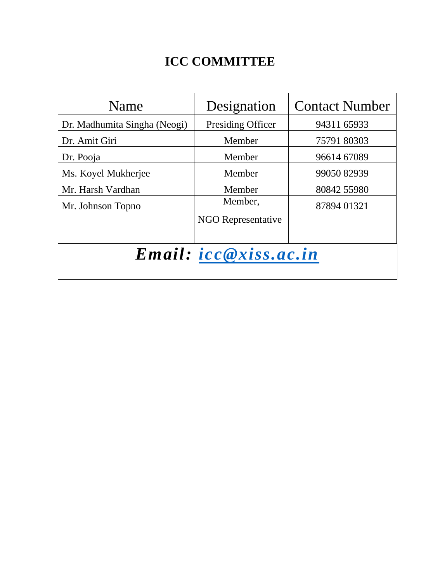### **ICC COMMITTEE**

| Name                         | Designation               | <b>Contact Number</b> |  |
|------------------------------|---------------------------|-----------------------|--|
| Dr. Madhumita Singha (Neogi) | Presiding Officer         | 94311 65933           |  |
| Dr. Amit Giri                | Member                    | 75791 80303           |  |
| Dr. Pooja                    | Member                    | 96614 67089           |  |
| Ms. Koyel Mukherjee          | Member                    | 99050 82939           |  |
| Mr. Harsh Vardhan            | Member                    | 80842 55980           |  |
| Mr. Johnson Topno            | Member,                   | 87894 01321           |  |
|                              | <b>NGO Representative</b> |                       |  |
|                              |                           |                       |  |
| <i>Email: icc@xiss.ac.in</i> |                           |                       |  |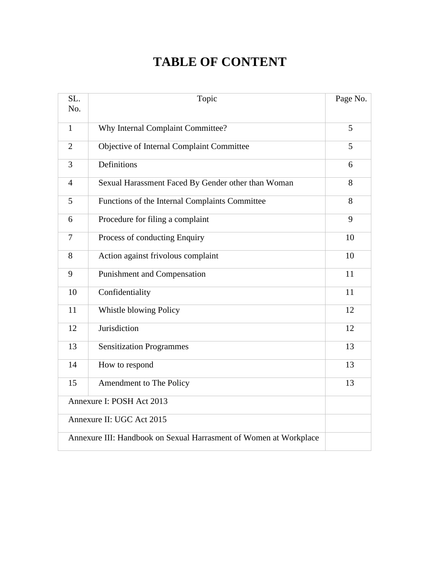### **TABLE OF CONTENT**

| SL.<br>No.                | Topic                                                             | Page No. |
|---------------------------|-------------------------------------------------------------------|----------|
| $\mathbf{1}$              | Why Internal Complaint Committee?                                 | 5        |
| $\overline{2}$            | Objective of Internal Complaint Committee                         | 5        |
| 3                         | Definitions                                                       | 6        |
| $\overline{4}$            | Sexual Harassment Faced By Gender other than Woman                | 8        |
| 5                         | Functions of the Internal Complaints Committee                    | 8        |
| 6                         | Procedure for filing a complaint                                  | 9        |
| $\overline{7}$            | Process of conducting Enquiry                                     | 10       |
| 8                         | Action against frivolous complaint                                | 10       |
| 9                         | <b>Punishment and Compensation</b>                                | 11       |
| 10                        | Confidentiality                                                   | 11       |
| 11                        | Whistle blowing Policy                                            | 12       |
| 12                        | Jurisdiction                                                      | 12       |
| 13                        | <b>Sensitization Programmes</b>                                   | 13       |
| 14                        | How to respond                                                    | 13       |
| 15                        | Amendment to The Policy                                           | 13       |
|                           | Annexure I: POSH Act 2013                                         |          |
| Annexure II: UGC Act 2015 |                                                                   |          |
|                           | Annexure III: Handbook on Sexual Harrasment of Women at Workplace |          |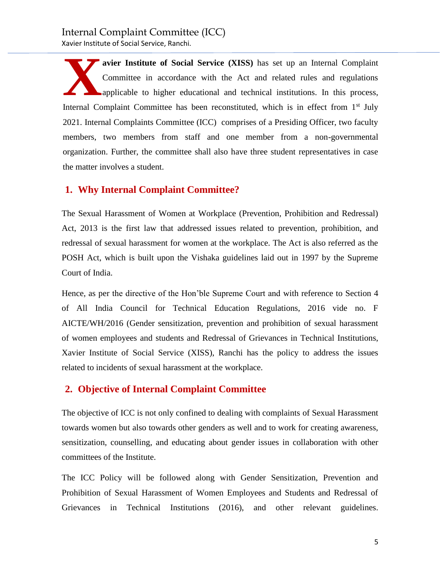**avier Institute of Social Service (XISS)** has set up an Internal Complaint Committee in accordance with the Act and related rules and regulations applicable to higher educational and technical institutions. In this process, Internal Complaint Committee has been reconstituted, which is in effect from 1<sup>st</sup> July 2021. Internal Complaints Committee (ICC) comprises of a Presiding Officer, two faculty members, two members from staff and one member from a non-governmental organization. Further, the committee shall also have three student representatives in case the matter involves a student. **X**

#### **1. Why Internal Complaint Committee?**

The Sexual Harassment of Women at Workplace (Prevention, Prohibition and Redressal) Act, 2013 is the first law that addressed issues related to prevention, prohibition, and redressal of sexual harassment for women at the workplace. The Act is also referred as the POSH Act, which is built upon the Vishaka guidelines laid out in 1997 by the Supreme Court of India.

Hence, as per the directive of the Hon'ble Supreme Court and with reference to Section 4 of All India Council for Technical Education Regulations, 2016 vide no. F AICTE/WH/2016 (Gender sensitization, prevention and prohibition of sexual harassment of women employees and students and Redressal of Grievances in Technical Institutions, Xavier Institute of Social Service (XISS), Ranchi has the policy to address the issues related to incidents of sexual harassment at the workplace.

#### **2. Objective of Internal Complaint Committee**

The objective of ICC is not only confined to dealing with complaints of Sexual Harassment towards women but also towards other genders as well and to work for creating awareness, sensitization, counselling, and educating about gender issues in collaboration with other committees of the Institute.

The ICC Policy will be followed along with Gender Sensitization, Prevention and Prohibition of Sexual Harassment of Women Employees and Students and Redressal of Grievances in Technical Institutions (2016), and other relevant guidelines.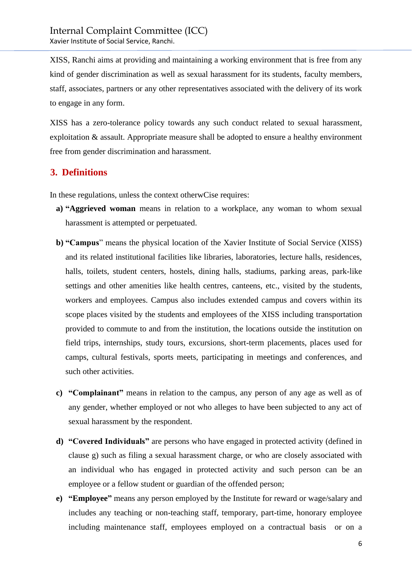XISS, Ranchi aims at providing and maintaining a working environment that is free from any kind of gender discrimination as well as sexual harassment for its students, faculty members, staff, associates, partners or any other representatives associated with the delivery of its work to engage in any form.

XISS has a zero-tolerance policy towards any such conduct related to sexual harassment, exploitation & assault. Appropriate measure shall be adopted to ensure a healthy environment free from gender discrimination and harassment.

#### **3. Definitions**

In these regulations, unless the context otherwCise requires:

- **a) "Aggrieved woman** means in relation to a workplace, any woman to whom sexual harassment is attempted or perpetuated.
- **b) "Campus**" means the physical location of the Xavier Institute of Social Service (XISS) and its related institutional facilities like libraries, laboratories, lecture halls, residences, halls, toilets, student centers, hostels, dining halls, stadiums, parking areas, park-like settings and other amenities like health centres, canteens, etc., visited by the students, workers and employees. Campus also includes extended campus and covers within its scope places visited by the students and employees of the XISS including transportation provided to commute to and from the institution, the locations outside the institution on field trips, internships, study tours, excursions, short-term placements, places used for camps, cultural festivals, sports meets, participating in meetings and conferences, and such other activities.
- **c) "Complainant"** means in relation to the campus, any person of any age as well as of any gender, whether employed or not who alleges to have been subjected to any act of sexual harassment by the respondent.
- **d) "Covered Individuals"** are persons who have engaged in protected activity (defined in clause g) such as filing a sexual harassment charge, or who are closely associated with an individual who has engaged in protected activity and such person can be an employee or a fellow student or guardian of the offended person;
- **e) "Employee"** means any person employed by the Institute for reward or wage/salary and includes any teaching or non-teaching staff, temporary, part-time, honorary employee including maintenance staff, employees employed on a contractual basis or on a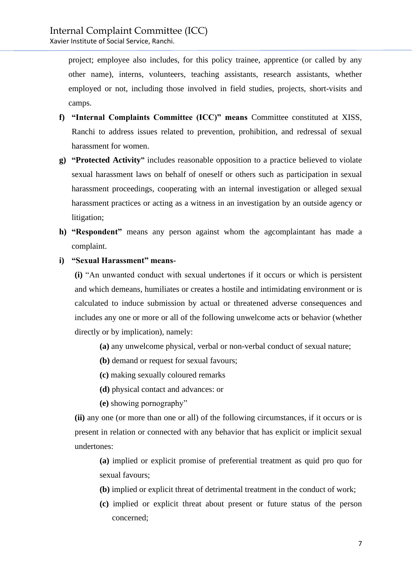project; employee also includes, for this policy trainee, apprentice (or called by any other name), interns, volunteers, teaching assistants, research assistants, whether employed or not, including those involved in field studies, projects, short-visits and camps.

- **f) "Internal Complaints Committee (ICC)" means** Committee constituted at XISS, Ranchi to address issues related to prevention, prohibition, and redressal of sexual harassment for women.
- **g) "Protected Activity"** includes reasonable opposition to a practice believed to violate sexual harassment laws on behalf of oneself or others such as participation in sexual harassment proceedings, cooperating with an internal investigation or alleged sexual harassment practices or acting as a witness in an investigation by an outside agency or litigation;
- **h) "Respondent"** means any person against whom the agcomplaintant has made a complaint.
- **i) "Sexual Harassment" means-**

**(i)** "An unwanted conduct with sexual undertones if it occurs or which is persistent and which demeans, humiliates or creates a hostile and intimidating environment or is calculated to induce submission by actual or threatened adverse consequences and includes any one or more or all of the following unwelcome acts or behavior (whether directly or by implication), namely:

- **(a)** any unwelcome physical, verbal or non-verbal conduct of sexual nature;
- **(b)** demand or request for sexual favours;
- **(c)** making sexually coloured remarks
- **(d)** physical contact and advances: or
- **(e)** showing pornography"

**(ii)** any one (or more than one or all) of the following circumstances, if it occurs or is present in relation or connected with any behavior that has explicit or implicit sexual undertones:

**(a)** implied or explicit promise of preferential treatment as quid pro quo for sexual favours;

- **(b)** implied or explicit threat of detrimental treatment in the conduct of work;
- **(c)** implied or explicit threat about present or future status of the person concerned;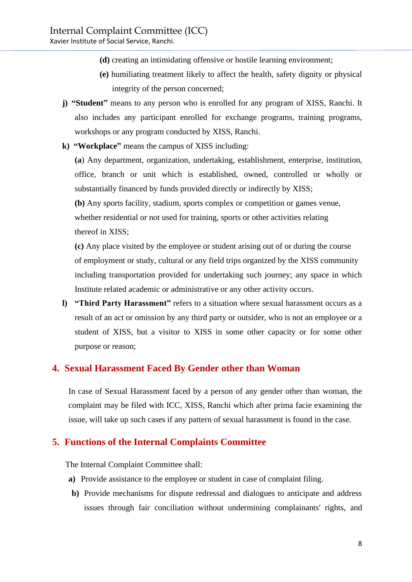Xavier Institute of Social Service, Ranchi.

- **(d)** creating an intimidating offensive or hostile learning environment;
- **(e)** humiliating treatment likely to affect the health, safety dignity or physical integrity of the person concerned;
- **j) "Student"** means to any person who is enrolled for any program of XISS, Ranchi. It also includes any participant enrolled for exchange programs, training programs, workshops or any program conducted by XISS, Ranchi.
- **k) "Workplace"** means the campus of XISS including:

**(a**) Any department, organization, undertaking, establishment, enterprise, institution, office, branch or unit which is established, owned, controlled or wholly or substantially financed by funds provided directly or indirectly by XISS;

**(b)** Any sports facility, stadium, sports complex or competition or games venue, whether residential or not used for training, sports or other activities relating thereof in XISS;

**(c)** Any place visited by the employee or student arising out of or during the course of employment or study, cultural or any field trips organized by the XISS community including transportation provided for undertaking such journey; any space in which Institute related academic or administrative or any other activity occurs.

**l) "Third Party Harassment"** refers to a situation where sexual harassment occurs as a result of an act or omission by any third party or outsider, who is not an employee or a student of XISS, but a visitor to XISS in some other capacity or for some other purpose or reason;

#### **4. Sexual Harassment Faced By Gender other than Woman**

In case of Sexual Harassment faced by a person of any gender other than woman, the complaint may be filed with ICC, XISS, Ranchi which after prima facie examining the issue, will take up such cases if any pattern of sexual harassment is found in the case.

#### **5. Functions of the Internal Complaints Committee**

The Internal Complaint Committee shall:

- **a)** Provide assistance to the employee or student in case of complaint filing.
- **b)** Provide mechanisms for dispute redressal and dialogues to anticipate and address issues through fair conciliation without undermining complainants' rights, and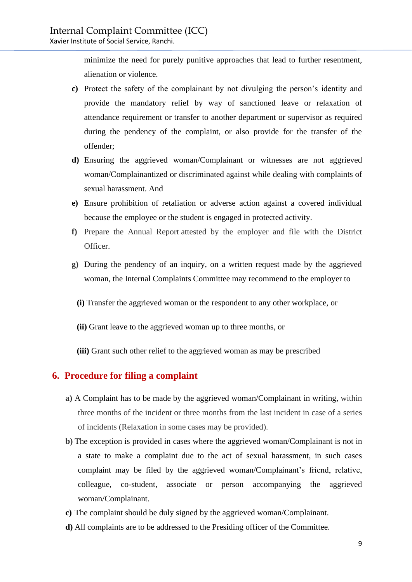minimize the need for purely punitive approaches that lead to further resentment, alienation or violence.

- **c)** Protect the safety of the complainant by not divulging the person's identity and provide the mandatory relief by way of sanctioned leave or relaxation of attendance requirement or transfer to another department or supervisor as required during the pendency of the complaint, or also provide for the transfer of the offender;
- **d)** Ensuring the aggrieved woman/Complainant or witnesses are not aggrieved woman/Complainantized or discriminated against while dealing with complaints of sexual harassment. And
- **e)** Ensure prohibition of retaliation or adverse action against a covered individual because the employee or the student is engaged in protected activity.
- **f)** Prepare the Annual Report attested by the employer and file with the District Officer.
- **g)** During the pendency of an inquiry, on a written request made by the aggrieved woman, the Internal Complaints Committee may recommend to the employer to
	- **(i)** Transfer the aggrieved woman or the respondent to any other workplace, or
	- **(ii)** Grant leave to the aggrieved woman up to three months, or
	- **(iii)** Grant such other relief to the aggrieved woman as may be prescribed

#### **6. Procedure for filing a complaint**

- **a)** A Complaint has to be made by the aggrieved woman/Complainant in writing, within three months of the incident or three months from the last incident in case of a series of incidents (Relaxation in some cases may be provided).
- **b)** The exception is provided in cases where the aggrieved woman/Complainant is not in a state to make a complaint due to the act of sexual harassment, in such cases complaint may be filed by the aggrieved woman/Complainant's friend, relative, colleague, co-student, associate or person accompanying the aggrieved woman/Complainant.
- **c)** The complaint should be duly signed by the aggrieved woman/Complainant.
- **d)** All complaints are to be addressed to the Presiding officer of the Committee.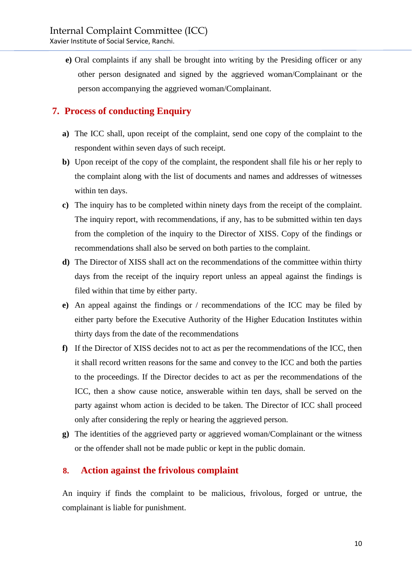**e)** Oral complaints if any shall be brought into writing by the Presiding officer or any other person designated and signed by the aggrieved woman/Complainant or the person accompanying the aggrieved woman/Complainant.

#### **7. Process of conducting Enquiry**

- **a)** The ICC shall, upon receipt of the complaint, send one copy of the complaint to the respondent within seven days of such receipt.
- **b)** Upon receipt of the copy of the complaint, the respondent shall file his or her reply to the complaint along with the list of documents and names and addresses of witnesses within ten days.
- **c)** The inquiry has to be completed within ninety days from the receipt of the complaint. The inquiry report, with recommendations, if any, has to be submitted within ten days from the completion of the inquiry to the Director of XISS. Copy of the findings or recommendations shall also be served on both parties to the complaint.
- **d)** The Director of XISS shall act on the recommendations of the committee within thirty days from the receipt of the inquiry report unless an appeal against the findings is filed within that time by either party.
- **e)** An appeal against the findings or / recommendations of the ICC may be filed by either party before the Executive Authority of the Higher Education Institutes within thirty days from the date of the recommendations
- **f)** If the Director of XISS decides not to act as per the recommendations of the ICC, then it shall record written reasons for the same and convey to the ICC and both the parties to the proceedings. If the Director decides to act as per the recommendations of the ICC, then a show cause notice, answerable within ten days, shall be served on the party against whom action is decided to be taken. The Director of ICC shall proceed only after considering the reply or hearing the aggrieved person.
- **g)** The identities of the aggrieved party or aggrieved woman/Complainant or the witness or the offender shall not be made public or kept in the public domain.

#### **8. Action against the frivolous complaint**

An inquiry if finds the complaint to be malicious, frivolous, forged or untrue, the complainant is liable for punishment.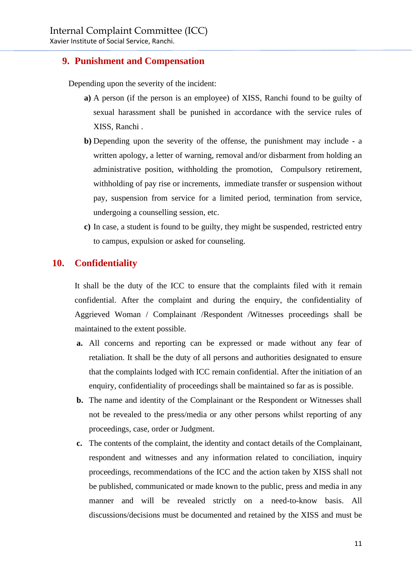Xavier Institute of Social Service, Ranchi.

#### **9. Punishment and Compensation**

Depending upon the severity of the incident:

- **a)** A person (if the person is an employee) of XISS, Ranchi found to be guilty of sexual harassment shall be punished in accordance with the service rules of XISS, Ranchi .
- **b)** Depending upon the severity of the offense, the punishment may include a written apology, a letter of warning, removal and/or disbarment from holding an administrative position, withholding the promotion, Compulsory retirement, withholding of pay rise or increments, immediate transfer or suspension without pay, suspension from service for a limited period, termination from service, undergoing a counselling session, etc.
- **c)** In case, a student is found to be guilty, they might be suspended, restricted entry to campus, expulsion or asked for counseling.

#### **10. Confidentiality**

It shall be the duty of the ICC to ensure that the complaints filed with it remain confidential. After the complaint and during the enquiry, the confidentiality of Aggrieved Woman / Complainant /Respondent /Witnesses proceedings shall be maintained to the extent possible.

- **a.** All concerns and reporting can be expressed or made without any fear of retaliation. It shall be the duty of all persons and authorities designated to ensure that the complaints lodged with ICC remain confidential. After the initiation of an enquiry, confidentiality of proceedings shall be maintained so far as is possible.
- **b.** The name and identity of the Complainant or the Respondent or Witnesses shall not be revealed to the press/media or any other persons whilst reporting of any proceedings, case, order or Judgment.
- **c.** The contents of the complaint, the identity and contact details of the Complainant, respondent and witnesses and any information related to conciliation, inquiry proceedings, recommendations of the ICC and the action taken by XISS shall not be published, communicated or made known to the public, press and media in any manner and will be revealed strictly on a need-to-know basis. All discussions/decisions must be documented and retained by the XISS and must be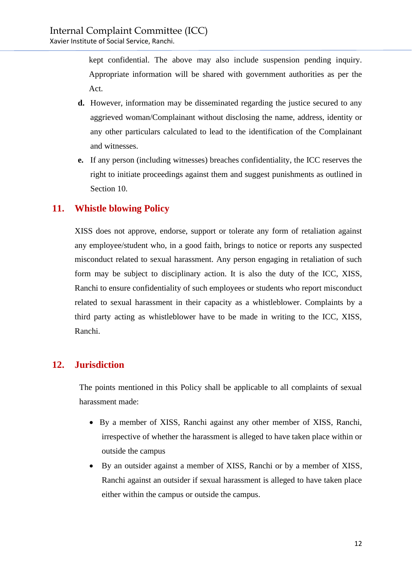kept confidential. The above may also include suspension pending inquiry. Appropriate information will be shared with government authorities as per the Act.

- **d.** However, information may be disseminated regarding the justice secured to any aggrieved woman/Complainant without disclosing the name, address, identity or any other particulars calculated to lead to the identification of the Complainant and witnesses.
- **e.** If any person (including witnesses) breaches confidentiality, the ICC reserves the right to initiate proceedings against them and suggest punishments as outlined in Section 10.

#### **11. Whistle blowing Policy**

XISS does not approve, endorse, support or tolerate any form of retaliation against any employee/student who, in a good faith, brings to notice or reports any suspected misconduct related to sexual harassment. Any person engaging in retaliation of such form may be subject to disciplinary action. It is also the duty of the ICC, XISS, Ranchi to ensure confidentiality of such employees or students who report misconduct related to sexual harassment in their capacity as a whistleblower. Complaints by a third party acting as whistleblower have to be made in writing to the ICC, XISS, Ranchi.

#### **12. Jurisdiction**

The points mentioned in this Policy shall be applicable to all complaints of sexual harassment made:

- By a member of XISS, Ranchi against any other member of XISS, Ranchi, irrespective of whether the harassment is alleged to have taken place within or outside the campus
- By an outsider against a member of XISS, Ranchi or by a member of XISS, Ranchi against an outsider if sexual harassment is alleged to have taken place either within the campus or outside the campus.